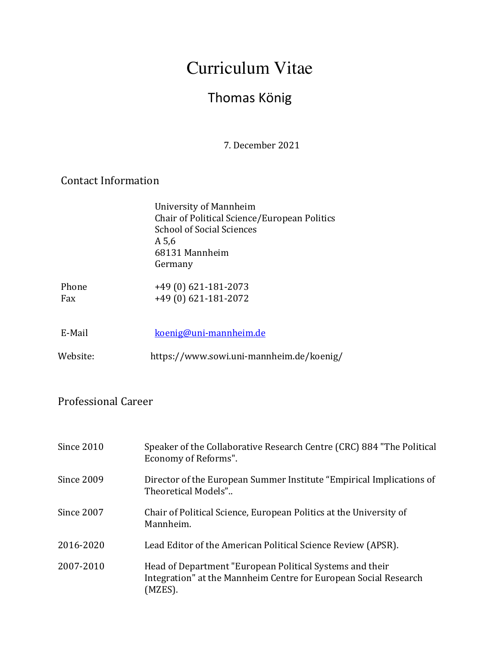# Curriculum Vitae

## Thomas König

 7. December 2021

### Contact Information

| University of Mannheim                       |
|----------------------------------------------|
| Chair of Political Science/European Politics |
| <b>School of Social Sciences</b>             |
| A 5,6                                        |
| 68131 Mannheim                               |
| Germany                                      |
|                                              |

| Phone | $+49(0)621-181-2073$ |
|-------|----------------------|
| Fax   | +49 (0) 621-181-2072 |

| E-Mail   | koenig@uni-mannheim.de                   |
|----------|------------------------------------------|
| Website: | https://www.sowi.uni-mannheim.de/koenig/ |

### Professional Career

| Since 2010 | Speaker of the Collaborative Research Centre (CRC) 884 "The Political<br>Economy of Reforms".                                           |
|------------|-----------------------------------------------------------------------------------------------------------------------------------------|
| Since 2009 | Director of the European Summer Institute "Empirical Implications of<br>Theoretical Models"                                             |
| Since 2007 | Chair of Political Science, European Politics at the University of<br>Mannheim.                                                         |
| 2016-2020  | Lead Editor of the American Political Science Review (APSR).                                                                            |
| 2007-2010  | Head of Department "European Political Systems and their<br>Integration" at the Mannheim Centre for European Social Research<br>(MZES). |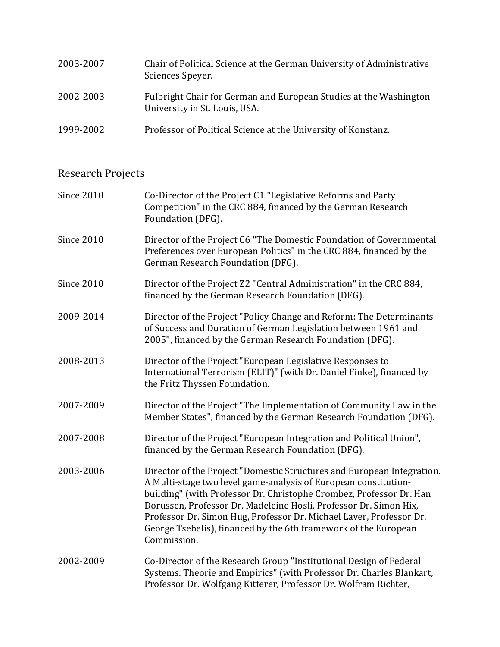| 2003-2007 | Chair of Political Science at the German University of Administrative<br>Sciences Speyer.          |
|-----------|----------------------------------------------------------------------------------------------------|
| 2002-2003 | Fulbright Chair for German and European Studies at the Washington<br>University in St. Louis, USA. |
| 1999-2002 | Professor of Political Science at the University of Konstanz.                                      |

### Research Projects

| <b>Since 2010</b> | Co-Director of the Project C1 "Legislative Reforms and Party<br>Competition" in the CRC 884, financed by the German Research<br>Foundation (DFG).                                                                                                                                                                                                                                                                                              |
|-------------------|------------------------------------------------------------------------------------------------------------------------------------------------------------------------------------------------------------------------------------------------------------------------------------------------------------------------------------------------------------------------------------------------------------------------------------------------|
| <b>Since 2010</b> | Director of the Project C6 "The Domestic Foundation of Governmental<br>Preferences over European Politics" in the CRC 884, financed by the<br>German Research Foundation (DFG).                                                                                                                                                                                                                                                                |
| <b>Since 2010</b> | Director of the Project Z2 "Central Administration" in the CRC 884,<br>financed by the German Research Foundation (DFG).                                                                                                                                                                                                                                                                                                                       |
| 2009-2014         | Director of the Project "Policy Change and Reform: The Determinants<br>of Success and Duration of German Legislation between 1961 and<br>2005", financed by the German Research Foundation (DFG).                                                                                                                                                                                                                                              |
| 2008-2013         | Director of the Project "European Legislative Responses to<br>International Terrorism (ELIT)" (with Dr. Daniel Finke), financed by<br>the Fritz Thyssen Foundation.                                                                                                                                                                                                                                                                            |
| 2007-2009         | Director of the Project "The Implementation of Community Law in the<br>Member States", financed by the German Research Foundation (DFG).                                                                                                                                                                                                                                                                                                       |
| 2007-2008         | Director of the Project "European Integration and Political Union",<br>financed by the German Research Foundation (DFG).                                                                                                                                                                                                                                                                                                                       |
| 2003-2006         | Director of the Project "Domestic Structures and European Integration.<br>A Multi-stage two level game-analysis of European constitution-<br>building" (with Professor Dr. Christophe Crombez, Professor Dr. Han<br>Dorussen, Professor Dr. Madeleine Hosli, Professor Dr. Simon Hix,<br>Professor Dr. Simon Hug, Professor Dr. Michael Laver, Professor Dr.<br>George Tsebelis), financed by the 6th framework of the European<br>Commission. |
| 2002-2009         | Co-Director of the Research Group "Institutional Design of Federal<br>Systems. Theorie and Empirics" (with Professor Dr. Charles Blankart,<br>Professor Dr. Wolfgang Kitterer, Professor Dr. Wolfram Richter,                                                                                                                                                                                                                                  |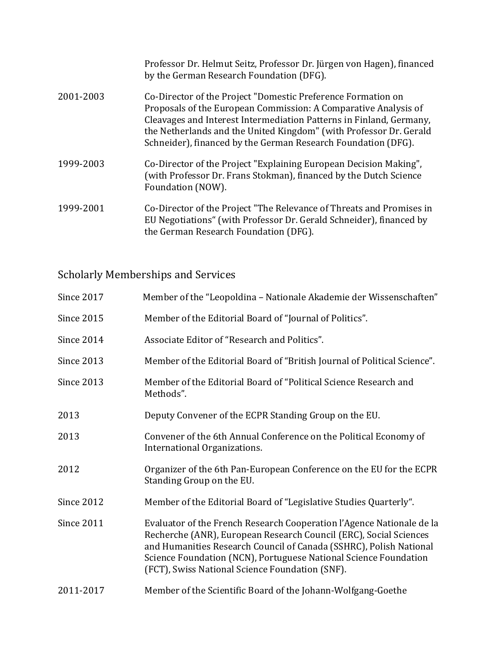|           | Professor Dr. Helmut Seitz, Professor Dr. Jürgen von Hagen), financed<br>by the German Research Foundation (DFG).                                                                                                                                                                                                                             |
|-----------|-----------------------------------------------------------------------------------------------------------------------------------------------------------------------------------------------------------------------------------------------------------------------------------------------------------------------------------------------|
| 2001-2003 | Co-Director of the Project "Domestic Preference Formation on<br>Proposals of the European Commission: A Comparative Analysis of<br>Cleavages and Interest Intermediation Patterns in Finland, Germany,<br>the Netherlands and the United Kingdom" (with Professor Dr. Gerald<br>Schneider), financed by the German Research Foundation (DFG). |
| 1999-2003 | Co-Director of the Project "Explaining European Decision Making",<br>(with Professor Dr. Frans Stokman), financed by the Dutch Science<br>Foundation (NOW).                                                                                                                                                                                   |
| 1999-2001 | Co-Director of the Project "The Relevance of Threats and Promises in<br>EU Negotiations" (with Professor Dr. Gerald Schneider), financed by<br>the German Research Foundation (DFG).                                                                                                                                                          |

Scholarly Memberships and Services

| <b>Since 2017</b> | Member of the "Leopoldina - Nationale Akademie der Wissenschaften"                                                                                                                                                                                                                                                                      |
|-------------------|-----------------------------------------------------------------------------------------------------------------------------------------------------------------------------------------------------------------------------------------------------------------------------------------------------------------------------------------|
| <b>Since 2015</b> | Member of the Editorial Board of "Journal of Politics".                                                                                                                                                                                                                                                                                 |
| <b>Since 2014</b> | Associate Editor of "Research and Politics".                                                                                                                                                                                                                                                                                            |
| Since 2013        | Member of the Editorial Board of "British Journal of Political Science".                                                                                                                                                                                                                                                                |
| Since 2013        | Member of the Editorial Board of "Political Science Research and<br>Methods".                                                                                                                                                                                                                                                           |
| 2013              | Deputy Convener of the ECPR Standing Group on the EU.                                                                                                                                                                                                                                                                                   |
| 2013              | Convener of the 6th Annual Conference on the Political Economy of<br>International Organizations.                                                                                                                                                                                                                                       |
| 2012              | Organizer of the 6th Pan-European Conference on the EU for the ECPR<br>Standing Group on the EU.                                                                                                                                                                                                                                        |
| Since 2012        | Member of the Editorial Board of "Legislative Studies Quarterly".                                                                                                                                                                                                                                                                       |
| <b>Since 2011</b> | Evaluator of the French Research Cooperation l'Agence Nationale de la<br>Recherche (ANR), European Research Council (ERC), Social Sciences<br>and Humanities Research Council of Canada (SSHRC), Polish National<br>Science Foundation (NCN), Portuguese National Science Foundation<br>(FCT), Swiss National Science Foundation (SNF). |
| 2011-2017         | Member of the Scientific Board of the Johann-Wolfgang-Goethe                                                                                                                                                                                                                                                                            |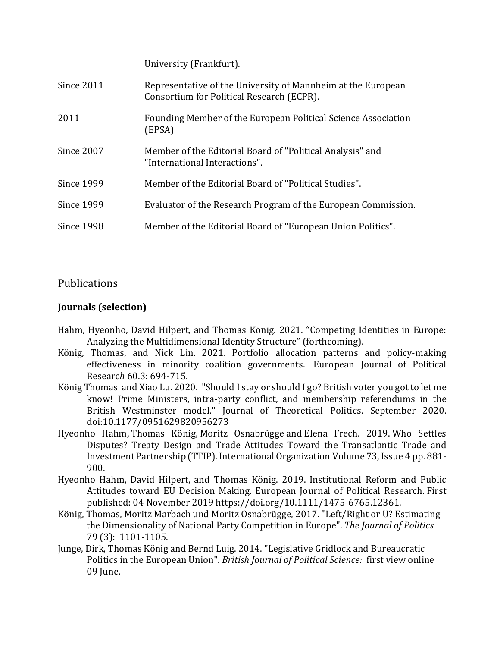|              | University (Frankfurt).                                                                                   |
|--------------|-----------------------------------------------------------------------------------------------------------|
| Since 2011   | Representative of the University of Mannheim at the European<br>Consortium for Political Research (ECPR). |
| 2011         | Founding Member of the European Political Science Association<br>(EPSA)                                   |
| Since 2007   | Member of the Editorial Board of "Political Analysis" and<br>"International Interactions".                |
| Since $1999$ | Member of the Editorial Board of "Political Studies".                                                     |
| Since 1999   | Evaluator of the Research Program of the European Commission.                                             |
| Since 1998   | Member of the Editorial Board of "European Union Politics".                                               |
|              |                                                                                                           |

#### Publications

#### **Journals (selection)**

- Hahm, Hyeonho, David Hilpert, and Thomas König. 2021. "Competing Identities in Europe: Analyzing the Multidimensional Identity Structure" (forthcoming).
- König, Thomas, and Nick Lin. 2021. Portfolio allocation patterns and policy-making effectiveness in minority coalition governments. European Journal of Political Research 60.3: 694-715.
- König Thomas and Xiao Lu. 2020. "Should I stay or should I go? British voter you got to let me know! Prime Ministers, intra-party conflict, and membership referendums in the British Westminster model." Journal of Theoretical Politics. September 2020. doi:10.1177/0951629820956273
- Hyeonho Hahm, Thomas König, Moritz Osnabrügge and Elena Frech. 2019. Who Settles Disputes? Treaty Design and Trade Attitudes Toward the Transatlantic Trade and Investment Partnership (TTIP). International Organization Volume 73, Issue 4 pp. 881-900.
- Hyeonho Hahm, David Hilpert, and Thomas König. 2019. Institutional Reform and Public Attitudes toward EU Decision Making. European Journal of Political Research. First published: 04 November 2019 https://doi.org/10.1111/1475-6765.12361.
- König, Thomas, Moritz Marbach und Moritz Osnabrügge, 2017. "Left/Right or U? Estimating the Dimensionality of National Party Competition in Europe". The Journal of Politics 79 (3): 1101-1105.
- Junge, Dirk, Thomas König and Bernd Luig. 2014. "Legislative Gridlock and Bureaucratic Politics in the European Union". *British Journal of Political Science:* first view online 09 Iune.